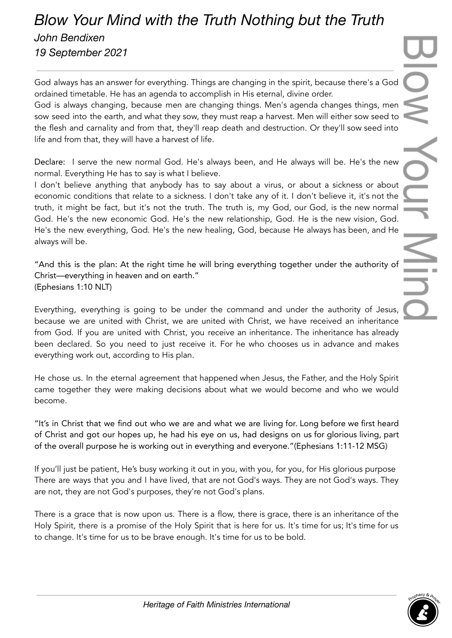## *Blow Your Mind with the Truth Nothing but the Truth John Bendixen 19 September 2021*

God always has an answer for everything. Things are changing in the spirit, because there's a God ordained timetable. He has an agenda to accomplish in His eternal, divine order.

God is always changing, because men are changing things. Men's agenda changes things, men sow seed into the earth, and what they sow, they must reap a harvest. Men will either sow seed to the flesh and carnality and from that, they'll reap death and destruction. Or they'll sow seed into life and from that, they will have a harvest of life.

Declare: I serve the new normal God. He's always been, and He always will be. He's the new normal. Everything He has to say is what I believe.

I don't believe anything that anybody has to say about a virus, or about a sickness or about economic conditions that relate to a sickness. I don't take any of it. I don't believe it, it's not the truth, it might be fact, but it's not the truth. The truth is, my God, our God, is the new normal God. He's the new economic God. He's the new relationship, God. He is the new vision, God. He's the new everything, God. He's the new healing, God, because He always has been, and He always will be.

"And this is the plan: At the right time he will bring everything together under the authority of Christ—everything in heaven and on earth." (Ephesians 1:10 NLT)

Everything, everything is going to be under the command and under the authority of Jesus, because we are united with Christ, we are united with Christ, we have received an inheritance from God. If you are united with Christ, you receive an inheritance. The inheritance has already been declared. So you need to just receive it. For he who chooses us in advance and makes everything work out, according to His plan.

He chose us. In the eternal agreement that happened when Jesus, the Father, and the Holy Spirit came together they were making decisions about what we would become and who we would become.

"It's in Christ that we find out who we are and what we are living for. Long before we first heard of Christ and got our hopes up, he had his eye on us, had designs on us for glorious living, part of the overall purpose he is working out in everything and everyone."(Ephesians 1:11-12 MSG)

If you'll just be patient, He's busy working it out in you, with you, for you, for His glorious purpose There are ways that you and I have lived, that are not God's ways. They are not God's ways. They are not, they are not God's purposes, they're not God's plans.

There is a grace that is now upon us. There is a flow, there is grace, there is an inheritance of the Holy Spirit, there is a promise of the Holy Spirit that is here for us. It's time for us; It's time for us to change. It's time for us to be brave enough. It's time for us to be bold.